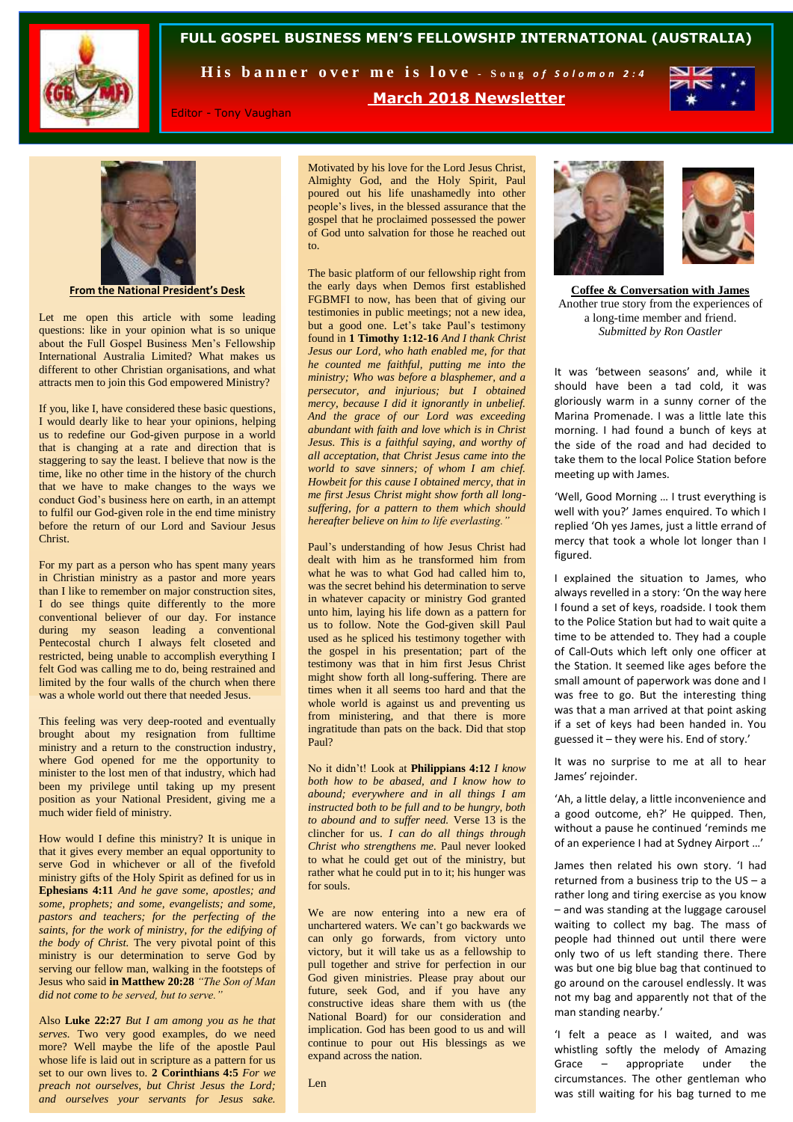

#### **FULL GOSPEL BUSINESS MEN'S FELLOWSHIP INTERNATIONAL (AUSTRALIA)**

His banner over me is love - Song of Solomon 2:4

**March 2018 Newsletter**



Editor - Tony Vaughan

Motivated by his love for the Lord Jesus Christ, Almighty God, and the Holy Spirit, Paul poured out his life unashamedly into other people's lives, in the blessed assurance that the gospel that he proclaimed possessed the power of God unto salvation for those he reached out to.



**From the National President's Desk**

Let me open this article with some leading questions: like in your opinion what is so unique about the Full Gospel Business Men's Fellowship International Australia Limited? What makes us different to other Christian organisations, and what attracts men to join this God empowered Ministry?

If you, like I, have considered these basic questions, I would dearly like to hear your opinions, helping us to redefine our God-given purpose in a world that is changing at a rate and direction that is staggering to say the least. I believe that now is the time, like no other time in the history of the church that we have to make changes to the ways we conduct God's business here on earth, in an attempt to fulfil our God-given role in the end time ministry before the return of our Lord and Saviour Jesus **Christ**.

For my part as a person who has spent many years in Christian ministry as a pastor and more years than I like to remember on major construction sites, I do see things quite differently to the more conventional believer of our day. For instance during my season leading a conventional Pentecostal church I always felt closeted and restricted, being unable to accomplish everything I felt God was calling me to do, being restrained and limited by the four walls of the church when there was a whole world out there that needed Jesus.

This feeling was very deep-rooted and eventually brought about my resignation from fulltime ministry and a return to the construction industry, where God opened for me the opportunity to minister to the lost men of that industry, which had been my privilege until taking up my present position as your National President, giving me a much wider field of ministry.

How would I define this ministry? It is unique in that it gives every member an equal opportunity to serve God in whichever or all of the fivefold ministry gifts of the Holy Spirit as defined for us in **Ephesians 4:11** *And he gave some, apostles; and some, prophets; and some, evangelists; and some, pastors and teachers; for the perfecting of the saints, for the work of ministry, for the edifying of the body of Christ.* The very pivotal point of this ministry is our determination to serve God by serving our fellow man, walking in the footsteps of Jesus who said **in Matthew 20:28** *"The Son of Man did not come to be served, but to serve."* 

Also **Luke 22:27** *But I am among you as he that serves.* Two very good examples, do we need more? Well maybe the life of the apostle Paul whose life is laid out in scripture as a pattern for us set to our own lives to. **2 Corinthians 4:5** *For we preach not ourselves, but Christ Jesus the Lord; and ourselves your servants for Jesus sake.*

The basic platform of our fellowship right from the early days when Demos first established FGBMFI to now, has been that of giving our testimonies in public meetings; not a new idea, but a good one. Let's take Paul's testimony found in **1 Timothy 1:12-16** *And I thank Christ Jesus our Lord, who hath enabled me, for that he counted me faithful, putting me into the ministry; Who was before a blasphemer, and a persecutor, and injurious; but I obtained mercy, because I did it ignorantly in unbelief. And the grace of our Lord was exceeding abundant with faith and love which is in Christ Jesus. This is a faithful saying, and worthy of all acceptation, that Christ Jesus came into the world to save sinners; of whom I am chief. Howbeit for this cause I obtained mercy, that in me first Jesus Christ might show forth all longsuffering, for a pattern to them which should hereafter believe on him to life everlasting."* 

Paul's understanding of how Jesus Christ had dealt with him as he transformed him from what he was to what God had called him to, was the secret behind his determination to serve in whatever capacity or ministry God granted unto him, laying his life down as a pattern for us to follow. Note the God-given skill Paul used as he spliced his testimony together with the gospel in his presentation; part of the testimony was that in him first Jesus Christ might show forth all long-suffering. There are times when it all seems too hard and that the whole world is against us and preventing us from ministering, and that there is more ingratitude than pats on the back. Did that stop Paul?

No it didn't! Look at **Philippians 4:12** *I know both how to be abased, and I know how to abound; everywhere and in all things I am instructed both to be full and to be hungry, both to abound and to suffer need.* Verse 13 is the clincher for us. *I can do all things through Christ who strengthens me.* Paul never looked to what he could get out of the ministry, but rather what he could put in to it; his hunger was for souls.

We are now entering into a new era of unchartered waters. We can't go backwards we can only go forwards, from victory unto victory, but it will take us as a fellowship to pull together and strive for perfection in our God given ministries. Please pray about our future, seek God, and if you have any constructive ideas share them with us (the National Board) for our consideration and implication. God has been good to us and will continue to pour out His blessings as we expand across the nation.



**Coffee & Conversation with James** Another true story from the experiences of a long-time member and friend. *Submitted by Ron Oastler*

It was 'between seasons' and, while it should have been a tad cold, it was gloriously warm in a sunny corner of the Marina Promenade. I was a little late this morning. I had found a bunch of keys at the side of the road and had decided to take them to the local Police Station before meeting up with James.

'Well, Good Morning … I trust everything is well with you?' James enquired. To which I replied 'Oh yes James, just a little errand of mercy that took a whole lot longer than I figured.

I explained the situation to James, who always revelled in a story: 'On the way here I found a set of keys, roadside. I took them to the Police Station but had to wait quite a time to be attended to. They had a couple of Call-Outs which left only one officer at the Station. It seemed like ages before the small amount of paperwork was done and I was free to go. But the interesting thing was that a man arrived at that point asking if a set of keys had been handed in. You guessed it – they were his. End of story.'

It was no surprise to me at all to hear James' rejoinder.

'Ah, a little delay, a little inconvenience and a good outcome, eh?' He quipped. Then, without a pause he continued 'reminds me of an experience I had at Sydney Airport …'

James then related his own story. 'I had returned from a business trip to the US – a rather long and tiring exercise as you know – and was standing at the luggage carousel waiting to collect my bag. The mass of people had thinned out until there were only two of us left standing there. There was but one big blue bag that continued to go around on the carousel endlessly. It was not my bag and apparently not that of the man standing nearby.'

'I felt a peace as I waited, and was whistling softly the melody of Amazing Grace – appropriate under the circumstances. The other gentleman who was still waiting for his bag turned to me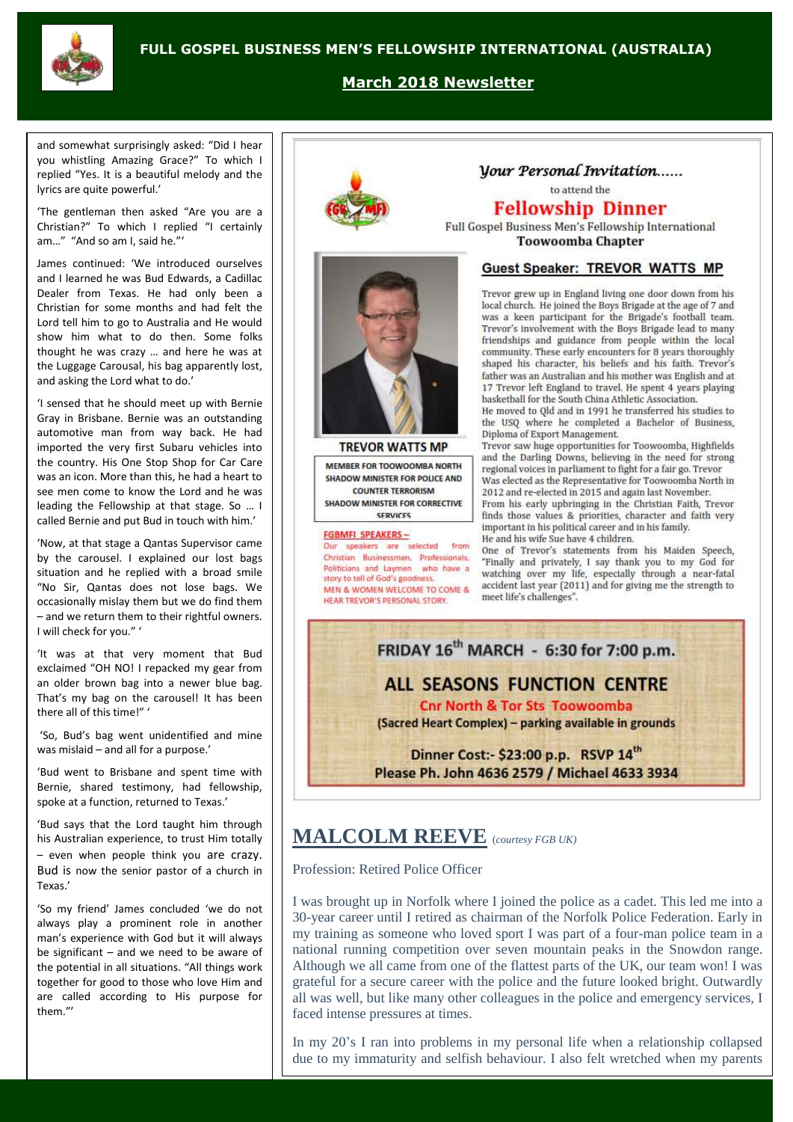

#### **March 2018 Newsletter**

and somewhat surprisingly asked: "Did I hear you whistling Amazing Grace?" To which I replied "Yes. It is a beautiful melody and the lyrics are quite powerful.'

'The gentleman then asked "Are you are a Christian?" To which I replied "I certainly am…" "And so am I, said he."'

James continued: 'We introduced ourselves and I learned he was Bud Edwards, a Cadillac Dealer from Texas. He had only been a Christian for some months and had felt the Lord tell him to go to Australia and He would show him what to do then. Some folks thought he was crazy … and here he was at the Luggage Carousal, his bag apparently lost, and asking the Lord what to do.'

'I sensed that he should meet up with Bernie Gray in Brisbane. Bernie was an outstanding automotive man from way back. He had imported the very first Subaru vehicles into the country. His One Stop Shop for Car Care was an icon. More than this, he had a heart to see men come to know the Lord and he was leading the Fellowship at that stage. So … I called Bernie and put Bud in touch with him.'

'Now, at that stage a Qantas Supervisor came by the carousel. I explained our lost bags situation and he replied with a broad smile "No Sir, Qantas does not lose bags. We occasionally mislay them but we do find them – and we return them to their rightful owners. I will check for you." '

'It was at that very moment that Bud exclaimed "OH NO! I repacked my gear from an older brown bag into a newer blue bag. That's my bag on the carousel! It has been there all of this time!" '

'So, Bud's bag went unidentified and mine was mislaid – and all for a purpose.'

'Bud went to Brisbane and spent time with Bernie, shared testimony, had fellowship, spoke at a function, returned to Texas.'

'Bud says that the Lord taught him through his Australian experience, to trust Him totally – even when people think you are crazy. Bud is now the senior pastor of a church in Texas.'

'So my friend' James concluded 'we do not always play a prominent role in another man's experience with God but it will always be significant – and we need to be aware of the potential in all situations. "All things work together for good to those who love Him and are called according to His purpose for them."'



**TREVOR WATTS MP** 

MEMBER FOR TOOWOOMBA NORTH

SHADOW MINISTER FOR POLICE AND

**COUNTER TERRORISM** 

SHADOW MINISTER FOR CORRECTIVE

SERVICES

speakers are selected from

Christian Businessmen, Professionals,

Politicians and Laymen who have a

MEN & WOMEN WELCOME TO COME &

story to tell of God's goodness.

HEAR TREVOR'S PERSONAL STORY

**FGBMFI SPEAKERS-**

## Vour Personal Invitation.....

to attend the

### **Fellowship Dinner**

Full Gospel Business Men's Fellowship International **Toowoomba Chapter** 

#### **Guest Speaker: TREVOR WATTS MP**

Trevor grew up in England living one door down from his local church. He joined the Boys Brigade at the age of 7 and was a keen participant for the Brigade's football team. Trevor's involvement with the Boys Brigade lead to many friendships and guidance from people within the local community. These early encounters for 8 years thoroughly shaped his character, his beliefs and his faith. Trevor's father was an Australian and his mother was English and at 17 Trevor left England to travel. He spent 4 years playing basketball for the South China Athletic Association.

He moved to Qld and in 1991 he transferred his studies to the USQ where he completed a Bachelor of Business, Diploma of Export Management.

Trevor saw huge opportunities for Toowoomba, Highfields and the Darling Downs, believing in the need for strong regional voices in parliament to fight for a fair go. Trevor Was elected as the Representative for Toowoomba North in 2012 and re-elected in 2015 and again last November. From his early upbringing in the Christian Faith, Trevor finds those values & priorities, character and faith very important in his political career and in his family.

He and his wife Sue have 4 children.

One of Trevor's statements from his Maiden Speech, "Finally and privately, I say thank you to my God for watching over my life, especially through a near-fatal accident last year (2011) and for giving me the strength to meet life's challenges".



# **MALCOLM REEVE** (*courtesy FGB UK)*

Profession: Retired Police Officer

I was brought up in Norfolk where I joined the police as a cadet. This led me into a 30-year career until I retired as chairman of the Norfolk Police Federation. Early in my training as someone who loved sport I was part of a four-man police team in a national running competition over seven mountain peaks in the Snowdon range. Although we all came from one of the flattest parts of the UK, our team won! I was grateful for a secure career with the police and the future looked bright. Outwardly all was well, but like many other colleagues in the police and emergency services, I faced intense pressures at times.

In my 20's I ran into problems in my personal life when a relationship collapsed due to my immaturity and selfish behaviour. I also felt wretched when my parents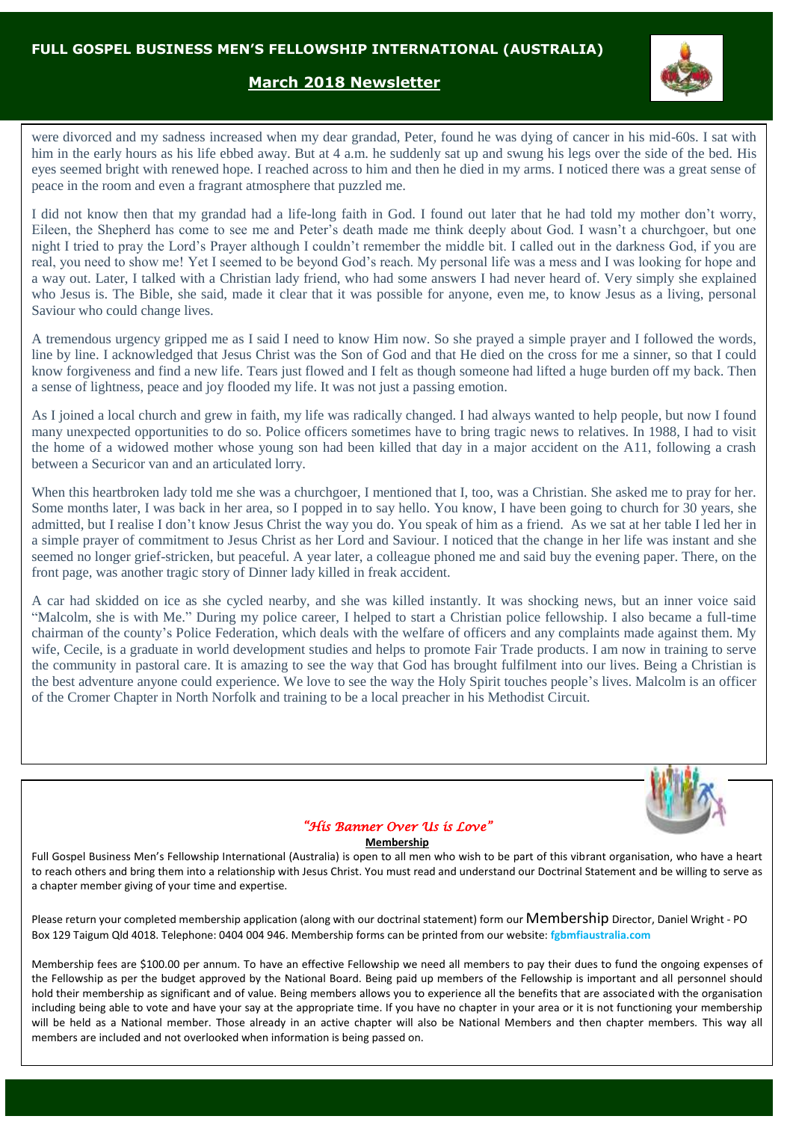## **March 2018 Newsletter**

were divorced and my sadness increased when my dear grandad, Peter, found he was dying of cancer in his mid-60s. I sat with him in the early hours as his life ebbed away. But at 4 a.m. he suddenly sat up and swung his legs over the side of the bed. His eyes seemed bright with renewed hope. I reached across to him and then he died in my arms. I noticed there was a great sense of peace in the room and even a fragrant atmosphere that puzzled me.

I did not know then that my grandad had a life-long faith in God. I found out later that he had told my mother don't worry, Eileen, the Shepherd has come to see me and Peter's death made me think deeply about God. I wasn't a churchgoer, but one night I tried to pray the Lord's Prayer although I couldn't remember the middle bit. I called out in the darkness God, if you are real, you need to show me! Yet I seemed to be beyond God's reach. My personal life was a mess and I was looking for hope and a way out. Later, I talked with a Christian lady friend, who had some answers I had never heard of. Very simply she explained who Jesus is. The Bible, she said, made it clear that it was possible for anyone, even me, to know Jesus as a living, personal Saviour who could change lives.

A tremendous urgency gripped me as I said I need to know Him now. So she prayed a simple prayer and I followed the words, line by line. I acknowledged that Jesus Christ was the Son of God and that He died on the cross for me a sinner, so that I could know forgiveness and find a new life. Tears just flowed and I felt as though someone had lifted a huge burden off my back. Then a sense of lightness, peace and joy flooded my life. It was not just a passing emotion.

As I joined a local church and grew in faith, my life was radically changed. I had always wanted to help people, but now I found many unexpected opportunities to do so. Police officers sometimes have to bring tragic news to relatives. In 1988, I had to visit the home of a widowed mother whose young son had been killed that day in a major accident on the A11, following a crash between a Securicor van and an articulated lorry.

When this heartbroken lady told me she was a churchgoer, I mentioned that I, too, was a Christian. She asked me to pray for her. Some months later, I was back in her area, so I popped in to say hello. You know, I have been going to church for 30 years, she admitted, but I realise I don't know Jesus Christ the way you do. You speak of him as a friend. As we sat at her table I led her in a simple prayer of commitment to Jesus Christ as her Lord and Saviour. I noticed that the change in her life was instant and she seemed no longer grief-stricken, but peaceful. A year later, a colleague phoned me and said buy the evening paper. There, on the front page, was another tragic story of Dinner lady killed in freak accident.

A car had skidded on ice as she cycled nearby, and she was killed instantly. It was shocking news, but an inner voice said "Malcolm, she is with Me." During my police career, I helped to start a Christian police fellowship. I also became a full-time chairman of the county's Police Federation, which deals with the welfare of officers and any complaints made against them. My wife, Cecile, is a graduate in world development studies and helps to promote Fair Trade products. I am now in training to serve the community in pastoral care. It is amazing to see the way that God has brought fulfilment into our lives. Being a Christian is the best adventure anyone could experience. We love to see the way the Holy Spirit touches people's lives. Malcolm is an officer of the Cromer Chapter in North Norfolk and training to be a local preacher in his Methodist Circuit.



#### *"His Banner Over Us is Love"*

#### **Membership**

Full Gospel Business Men's Fellowship International (Australia) is open to all men who wish to be part of this vibrant organisation, who have a heart to reach others and bring them into a relationship with Jesus Christ. You must read and understand our Doctrinal Statement and be willing to serve as a chapter member giving of your time and expertise.

Please return your completed membership application (along with our doctrinal statement) form our Membership Director, Daniel Wright - PO Box 129 Taigum Qld 4018. Telephone: 0404 004 946. Membership forms can be printed from our website: **fgbmfiaustralia.com**

Membership fees are \$100.00 per annum. To have an effective Fellowship we need all members to pay their dues to fund the ongoing expenses of the Fellowship as per the budget approved by the National Board. Being paid up members of the Fellowship is important and all personnel should hold their membership as significant and of value. Being members allows you to experience all the benefits that are associated with the organisation including being able to vote and have your say at the appropriate time. If you have no chapter in your area or it is not functioning your membership will be held as a National member. Those already in an active chapter will also be National Members and then chapter members. This way all members are included and not overlooked when information is being passed on.